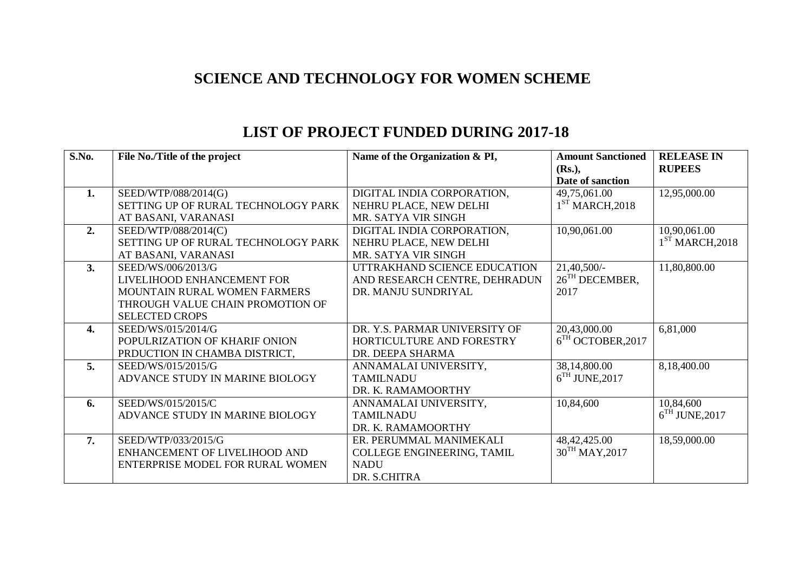## **SCIENCE AND TECHNOLOGY FOR WOMEN SCHEME**

| S.No. | File No./Title of the project       | Name of the Organization & PI, | <b>Amount Sanctioned</b>   | <b>RELEASE IN</b> |
|-------|-------------------------------------|--------------------------------|----------------------------|-------------------|
|       |                                     |                                | $(Rs.)$ ,                  | <b>RUPEES</b>     |
|       |                                     |                                | Date of sanction           |                   |
| 1.    | SEED/WTP/088/2014(G)                | DIGITAL INDIA CORPORATION,     | 49,75,061.00               | 12,95,000.00      |
|       | SETTING UP OF RURAL TECHNOLOGY PARK | NEHRU PLACE, NEW DELHI         | $1ST$ MARCH, 2018          |                   |
|       | AT BASANI, VARANASI                 | MR. SATYA VIR SINGH            |                            |                   |
| 2.    | SEED/WTP/088/2014(C)                | DIGITAL INDIA CORPORATION,     | 10,90,061.00               | 10,90,061.00      |
|       | SETTING UP OF RURAL TECHNOLOGY PARK | NEHRU PLACE, NEW DELHI         |                            | $1ST$ MARCH, 2018 |
|       | AT BASANI, VARANASI                 | MR. SATYA VIR SINGH            |                            |                   |
| 3.    | SEED/WS/006/2013/G                  | UTTRAKHAND SCIENCE EDUCATION   | $21,40,500/-$              | 11,80,800.00      |
|       | LIVELIHOOD ENHANCEMENT FOR          | AND RESEARCH CENTRE, DEHRADUN  | $26TH$ DECEMBER,           |                   |
|       | MOUNTAIN RURAL WOMEN FARMERS        | DR. MANJU SUNDRIYAL            | 2017                       |                   |
|       | THROUGH VALUE CHAIN PROMOTION OF    |                                |                            |                   |
|       | <b>SELECTED CROPS</b>               |                                |                            |                   |
| 4.    | SEED/WS/015/2014/G                  | DR. Y.S. PARMAR UNIVERSITY OF  | 20,43,000.00               | 6,81,000          |
|       | POPULRIZATION OF KHARIF ONION       | HORTICULTURE AND FORESTRY      | $6TH$ OCTOBER, 2017        |                   |
|       | PRDUCTION IN CHAMBA DISTRICT,       | DR. DEEPA SHARMA               |                            |                   |
| 5.    | SEED/WS/015/2015/G                  | ANNAMALAI UNIVERSITY,          | 38,14,800.00               | 8,18,400.00       |
|       | ADVANCE STUDY IN MARINE BIOLOGY     | <b>TAMILNADU</b>               | $6TH$ JUNE, 2017           |                   |
|       |                                     | DR. K. RAMAMOORTHY             |                            |                   |
| 6.    | SEED/WS/015/2015/C                  | ANNAMALAI UNIVERSITY,          | 10,84,600                  | 10,84,600         |
|       | ADVANCE STUDY IN MARINE BIOLOGY     | <b>TAMILNADU</b>               |                            | $6TH$ JUNE, 2017  |
|       |                                     | DR. K. RAMAMOORTHY             |                            |                   |
| 7.    | SEED/WTP/033/2015/G                 | ER. PERUMMAL MANIMEKALI        | 48, 42, 425.00             | 18,59,000.00      |
|       | ENHANCEMENT OF LIVELIHOOD AND       | COLLEGE ENGINEERING, TAMIL     | 30 <sup>TH</sup> MAY, 2017 |                   |
|       | ENTERPRISE MODEL FOR RURAL WOMEN    | <b>NADU</b>                    |                            |                   |
|       |                                     | DR. S.CHITRA                   |                            |                   |

## **LIST OF PROJECT FUNDED DURING 2017-18**